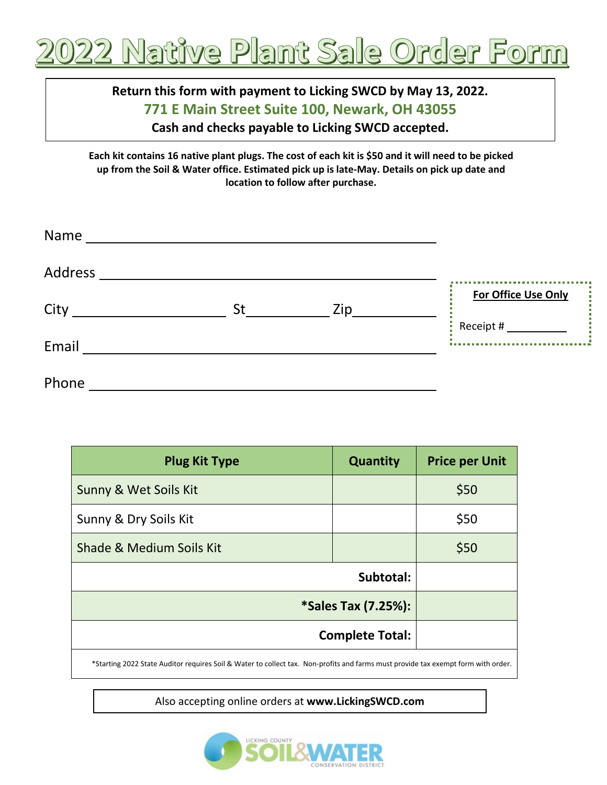

## **Return this form with payment to Licking SWCD by May 13, 2022. 771 E Main Street Suite 100, Newark, OH 43055 Cash and checks payable to Licking SWCD accepted.**

**Each kit contains 16 native plant plugs. The cost of each kit is \$50 and it will need to be picked up from the Soil & Water office. Estimated pick up is late-May. Details on pick up date and location to follow after purchase.**

| Name    | <u> 1989 - Andrea State Barbara, política e a contrar a la contrar de la contrar altre</u> |     |                     |
|---------|--------------------------------------------------------------------------------------------|-----|---------------------|
| Address |                                                                                            |     |                     |
| City    | St                                                                                         |     | For Office Use Only |
|         |                                                                                            | Zip |                     |
| Email   |                                                                                            |     |                     |
| Phone   |                                                                                            |     |                     |

| <b>Plug Kit Type</b>     | <b>Quantity</b> | <b>Price per Unit</b> |
|--------------------------|-----------------|-----------------------|
| Sunny & Wet Soils Kit    |                 | \$50                  |
| Sunny & Dry Soils Kit    |                 | \$50                  |
| Shade & Medium Soils Kit |                 | \$50                  |
| Subtotal:                |                 |                       |
| *Sales Tax (7.25%):      |                 |                       |
| <b>Complete Total:</b>   |                 |                       |
|                          |                 |                       |

\*Starting 2022 State Auditor requires Soil & Water to collect tax. Non-profits and farms must provide tax exempt form with order.

Also accepting online orders at **www.LickingSWCD.com**